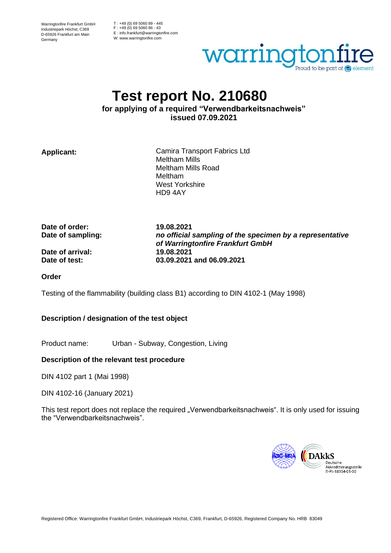Warringtonfire Frankfurt GmbH Industriepark Höchst, C369 D-65926 Frankfurt am Main Germany

T : +49 (0) 69 5060 89 - 445 F : +49 (0) 69 5060 86 - 43 E : info.frankfurt@warringtonfire.com W: www.warringtonfire.com



# **Test report No. 210680**

**for applying of a required "Verwendbarkeitsnachweis" issued 07.09.2021**

**Applicant:** Camira Transport Fabrics Ltd Meltham Mills Meltham Mills Road Meltham West Yorkshire HD9 4AY

**Date of order: 19.08.2021**

**Date of sampling:** *no official sampling of the specimen by a representative of Warringtonfire Frankfurt GmbH* **Date of test: 03.09.2021 and 06.09.2021**

**Date of arrival: 19.08.2021**

**Order**

Testing of the flammability (building class B1) according to DIN 4102-1 (May 1998)

# **Description / designation of the test object**

Product name: Urban - Subway, Congestion, Living

#### **Description of the relevant test procedure**

DIN 4102 part 1 (Mai 1998)

#### DIN 4102-16 (January 2021)

This test report does not replace the required "Verwendbarkeitsnachweis". It is only used for issuing the "Verwendbarkeitsnachweis".

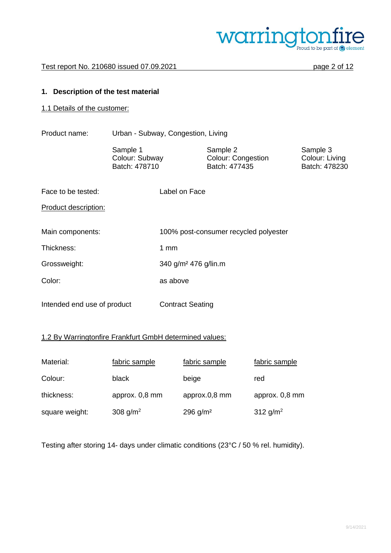

## **1. Description of the test material**

1.1 Details of the customer:

Product name: Urban - Subway, Congestion, Living

Sample 1 Sample 2 Sample 2 Sample 3<br>
Colour: Subway Colour: Congestion Colour: Living Colour: Congestion<br>Batch: 477435 Batch: 478710 **Batch: 477435** Batch: 478230

Face to be tested: Label on Face

Product description:

| Main components: | 100% post-consumer recycled polyester |
|------------------|---------------------------------------|
| Thickness:       | 1 $mm$                                |
| Grossweight:     | 340 g/m <sup>2</sup> 476 g/lin.m      |
| Color:           | as above                              |
|                  |                                       |

Intended end use of product Contract Seating

# 1.2 By Warringtonfire Frankfurt GmbH determined values:

| Material:      | fabric sample        | fabric sample | fabric sample  |
|----------------|----------------------|---------------|----------------|
| Colour:        | black                | beige         | red            |
| thickness:     | approx. 0,8 mm       | approx.0,8 mm | approx. 0,8 mm |
| square weight: | 308 g/m <sup>2</sup> | 296 $g/m^2$   | 312 $g/m^2$    |

Testing after storing 14- days under climatic conditions (23°C / 50 % rel. humidity).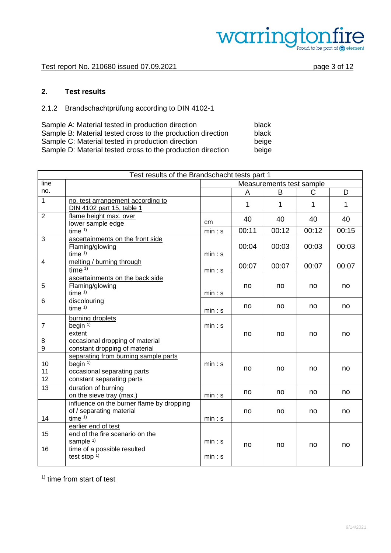

# **2. Test results**

# 2.1.2 Brandschachtprüfung according to DIN 4102-1

| Sample A: Material tested in production direction           | black |
|-------------------------------------------------------------|-------|
| Sample B: Material tested cross to the production direction | black |
| Sample C: Material tested in production direction           | beige |
| Sample D: Material tested cross to the production direction | beige |

| Test results of the Brandschacht tests part 1 |                                                                                                                          |                          |       |       |             |       |  |
|-----------------------------------------------|--------------------------------------------------------------------------------------------------------------------------|--------------------------|-------|-------|-------------|-------|--|
| line                                          |                                                                                                                          | Measurements test sample |       |       |             |       |  |
| no.                                           |                                                                                                                          |                          | A     | B     | C           | D     |  |
| $\mathbf{1}$                                  | no. test arrangement according to<br>DIN 4102 part 15, table 1                                                           |                          | 1     | 1     | $\mathbf 1$ | 1     |  |
| $\overline{2}$                                | flame height max. over<br>lower sample edge                                                                              | cm                       | 40    | 40    | 40          | 40    |  |
|                                               | time $1$ )                                                                                                               | min: s                   | 00:11 | 00:12 | 00:12       | 00:15 |  |
| 3                                             | ascertainments on the front side<br>Flaming/glowing<br>time $1$ )                                                        | min: s                   | 00:04 | 00:03 | 00:03       | 00:03 |  |
| 4                                             | melting / burning through<br>time $\overline{1}$                                                                         | min: s                   | 00:07 | 00:07 | 00:07       | 00:07 |  |
| 5                                             | ascertainments on the back side<br>Flaming/glowing<br>time $1$ )                                                         | min: s                   | no    | no    | no          | no    |  |
| 6                                             | discolouring<br>time $1$ )                                                                                               | min: s                   | no    | no    | no          | no    |  |
| $\overline{7}$<br>8<br>9                      | burning droplets<br>begin $1$ )<br>extent<br>occasional dropping of material<br>constant dropping of material            | min: s                   | no    | no    | no          | no    |  |
| 10<br>11<br>12                                | separating from burning sample parts<br>begin $1$ )<br>occasional separating parts<br>constant separating parts          | min: s                   | no    | no    | no          | no    |  |
| 13                                            | duration of burning<br>on the sieve tray (max.)                                                                          | min: s                   | no    | no    | no          | no    |  |
| 14                                            | influence on the burner flame by dropping<br>of / separating material<br>time $1$ )                                      | min: s                   | no    | no    | no          | no    |  |
| 15<br>16                                      | earlier end of test<br>end of the fire scenario on the<br>sample $1$ )<br>time of a possible resulted<br>test stop $1$ ) | min: s<br>min: s         | no    | no    | no          | no    |  |
|                                               |                                                                                                                          |                          |       |       |             |       |  |

<sup>1)</sup> time from start of test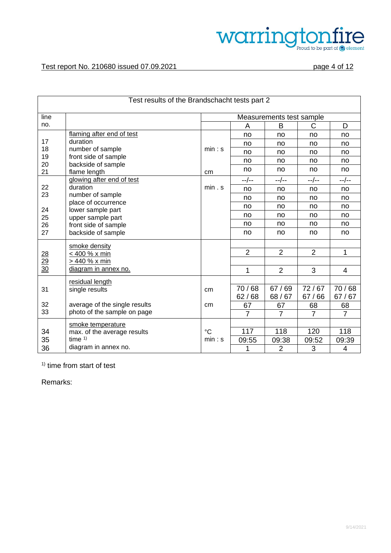

| Test results of the Brandschacht tests part 2 |                                                               |                          |                |                |                |                |  |  |
|-----------------------------------------------|---------------------------------------------------------------|--------------------------|----------------|----------------|----------------|----------------|--|--|
| line                                          |                                                               | Measurements test sample |                |                |                |                |  |  |
| no.                                           |                                                               |                          | A              | B              | C              | D              |  |  |
|                                               | flaming after end of test                                     |                          | no             | no             | no             | no             |  |  |
| 17                                            | duration                                                      |                          | no             | no             | no             | no             |  |  |
| 18                                            | number of sample                                              | min: s                   | no             | no             | no             | no             |  |  |
| 19<br>20                                      | front side of sample<br>backside of sample                    |                          | no             | no             | no             | no             |  |  |
| 21                                            | flame length                                                  | cm                       | no             | no             | no             | no             |  |  |
|                                               | glowing after end of test                                     |                          | --/--          | $-$ /--        | --/--          | --/--          |  |  |
| 22                                            | duration                                                      | min. s                   | no             | no             | no             | no             |  |  |
| 23                                            | number of sample                                              |                          | no             | no             | no             | no             |  |  |
| 24                                            | place of occurrence<br>lower sample part<br>upper sample part |                          | no             | no             | no             | no             |  |  |
| 25                                            |                                                               |                          | no             | no             | no             | no             |  |  |
| 26                                            | front side of sample                                          |                          | no             | no             | no             | no             |  |  |
| 27                                            | backside of sample                                            |                          | no             | no             | no             | no             |  |  |
|                                               | smoke density                                                 |                          |                |                |                |                |  |  |
|                                               | < 400 % x min                                                 |                          | $\overline{2}$ | $\overline{2}$ | $\overline{2}$ | 1              |  |  |
| $\frac{28}{29}$<br>$\frac{29}{30}$            | > 440 % x min                                                 |                          |                |                |                |                |  |  |
|                                               | diagram in annex no.                                          |                          | 1              | $\overline{2}$ | 3              | $\overline{4}$ |  |  |
|                                               | residual length                                               |                          |                |                |                |                |  |  |
| 31                                            | single results                                                | cm                       | 70/68          | 67/69          | 72/67          | 70/68          |  |  |
|                                               |                                                               |                          | 62/68          | 68/67          | 67/66          | 67/67          |  |  |
| 32                                            | average of the single results                                 | cm                       | 67             | 67             | 68             | 68             |  |  |
| 33                                            | photo of the sample on page                                   |                          | $\overline{7}$ | $\overline{7}$ | $\overline{7}$ | $\overline{7}$ |  |  |
|                                               | smoke temperature                                             |                          |                |                |                |                |  |  |
| 34                                            | max. of the average results                                   | $\rm ^{\circ}C$          | 117            | 118            | 120            | 118            |  |  |
| 35                                            | time $1$ )                                                    | min: s                   | 09:55          | 09:38          | 09:52          | 09:39          |  |  |
| 36                                            | diagram in annex no.                                          |                          | 1              | $\overline{2}$ | 3              | $\overline{4}$ |  |  |

<sup>1)</sup> time from start of test

Remarks: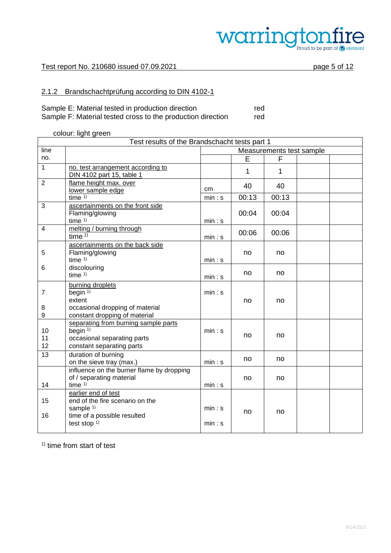

#### Test report No. 210680 issued 07.09.2021 page 5 of 12

# 2.1.2 Brandschachtprüfung according to DIN 4102-1

| Sample E: Material tested in production direction           | red |
|-------------------------------------------------------------|-----|
| Sample F: Material tested cross to the production direction | red |

#### colour: light green

|                  | Test results of the Brandschacht tests part 1     |                          |       |       |  |  |  |  |
|------------------|---------------------------------------------------|--------------------------|-------|-------|--|--|--|--|
| line             |                                                   | Measurements test sample |       |       |  |  |  |  |
| no.              |                                                   |                          | E     | F     |  |  |  |  |
| $\mathbf{1}$     | no. test arrangement according to                 |                          | 1     | 1     |  |  |  |  |
|                  | DIN 4102 part 15, table 1                         |                          |       |       |  |  |  |  |
| $\overline{2}$   | flame height max. over                            | cm                       | 40    | 40    |  |  |  |  |
|                  | lower sample edge<br>time $1$ )                   | min: s                   | 00:13 | 00:13 |  |  |  |  |
| 3                | ascertainments on the front side                  |                          |       |       |  |  |  |  |
|                  | Flaming/glowing                                   |                          | 00:04 | 00:04 |  |  |  |  |
|                  | time $1)$                                         | min: s                   |       |       |  |  |  |  |
| $\overline{4}$   | melting / burning through                         |                          |       |       |  |  |  |  |
|                  | time $1)$                                         | min: s                   | 00:06 | 00:06 |  |  |  |  |
|                  | ascertainments on the back side                   |                          |       |       |  |  |  |  |
| 5                | Flaming/glowing                                   |                          | no    | no    |  |  |  |  |
|                  | time $1$ )                                        | min: s                   |       |       |  |  |  |  |
| 6                | discolouring                                      |                          | no    | no    |  |  |  |  |
|                  | time $1$ )                                        | min: s                   |       |       |  |  |  |  |
|                  | burning droplets                                  |                          |       |       |  |  |  |  |
| $\overline{7}$   | begin $1$ )                                       | min: s                   |       |       |  |  |  |  |
|                  | extent                                            |                          | no    | no    |  |  |  |  |
| 8                | occasional dropping of material                   |                          |       |       |  |  |  |  |
| $\boldsymbol{9}$ | constant dropping of material                     |                          |       |       |  |  |  |  |
| 10               | separating from burning sample parts<br>begin $1$ | min: s                   |       |       |  |  |  |  |
| 11               | occasional separating parts                       |                          | no    | no    |  |  |  |  |
| 12               | constant separating parts                         |                          |       |       |  |  |  |  |
| 13               | duration of burning                               |                          |       |       |  |  |  |  |
|                  | on the sieve tray (max.)                          | min: s                   | no    | no    |  |  |  |  |
|                  | influence on the burner flame by dropping         |                          |       |       |  |  |  |  |
|                  | of / separating material                          |                          | no    | no    |  |  |  |  |
| 14               | time $1)$                                         | min: s                   |       |       |  |  |  |  |
|                  | earlier end of test                               |                          |       |       |  |  |  |  |
| 15               | end of the fire scenario on the                   |                          |       |       |  |  |  |  |
|                  | sample $1$ )                                      | min: s                   | no    | no    |  |  |  |  |
| 16               | time of a possible resulted                       |                          |       |       |  |  |  |  |
|                  | test stop $1$ )                                   | min: s                   |       |       |  |  |  |  |
|                  |                                                   |                          |       |       |  |  |  |  |

<sup>1)</sup> time from start of test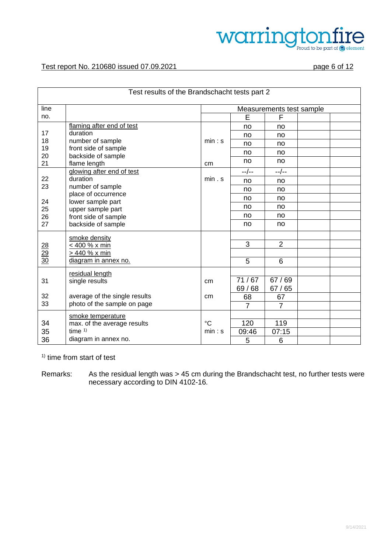# warrington  $\mathop{\mathrm{dom}}\limits_{\mathrm{Proud to\, be\ part\ of\ @\ element}}$

#### Test report No. 210680 issued 07.09.2021 page 6 of 12

| Test results of the Brandschacht tests part 2 |                                        |                          |                |                |  |  |  |  |
|-----------------------------------------------|----------------------------------------|--------------------------|----------------|----------------|--|--|--|--|
| line                                          |                                        | Measurements test sample |                |                |  |  |  |  |
| no.                                           |                                        |                          | E              | F              |  |  |  |  |
|                                               | flaming after end of test              |                          | no             | no             |  |  |  |  |
| 17                                            | duration                               |                          | no             | no             |  |  |  |  |
| 18                                            | number of sample                       | min: s                   | no             | no             |  |  |  |  |
| 19<br>20                                      | front side of sample                   |                          | no             | no             |  |  |  |  |
| 21                                            | backside of sample<br>flame length     | cm                       | no             | no             |  |  |  |  |
|                                               | glowing after end of test              |                          | --/--          | --/--          |  |  |  |  |
| 22                                            | duration                               | min. s                   | no             | no             |  |  |  |  |
| 23                                            | number of sample                       |                          | no             | no             |  |  |  |  |
| 24                                            | place of occurrence                    |                          | no             | no             |  |  |  |  |
| 25                                            | lower sample part<br>upper sample part |                          | no             | no             |  |  |  |  |
| 26                                            | front side of sample                   |                          | no             | no             |  |  |  |  |
| 27                                            | backside of sample                     |                          | no             | no             |  |  |  |  |
|                                               | smoke density                          |                          |                |                |  |  |  |  |
|                                               | < 400 % x min                          |                          | 3              | $\overline{2}$ |  |  |  |  |
| $\frac{28}{29}$<br>$\frac{29}{30}$            | > 440 % x min                          |                          |                |                |  |  |  |  |
|                                               | diagram in annex no.                   |                          | 5              | 6              |  |  |  |  |
|                                               | residual length                        |                          |                |                |  |  |  |  |
| 31                                            | single results                         | cm                       | 71/67          | 67/69          |  |  |  |  |
|                                               |                                        |                          | 69 / 68        | 67/65          |  |  |  |  |
| 32                                            | average of the single results          | cm                       | 68             | 67             |  |  |  |  |
| 33                                            | photo of the sample on page            |                          | $\overline{7}$ | $\overline{7}$ |  |  |  |  |
|                                               | smoke temperature                      |                          |                |                |  |  |  |  |
| 34                                            | max. of the average results            | $^{\circ}C$              | 120            | 119            |  |  |  |  |
| 35                                            | time $1)$                              | min: s                   | 09:46          | 07:15          |  |  |  |  |
| 36                                            | diagram in annex no.                   |                          | 5              | 6              |  |  |  |  |

<sup>1)</sup> time from start of test

Remarks: As the residual length was > 45 cm during the Brandschacht test, no further tests were necessary according to DIN 4102-16.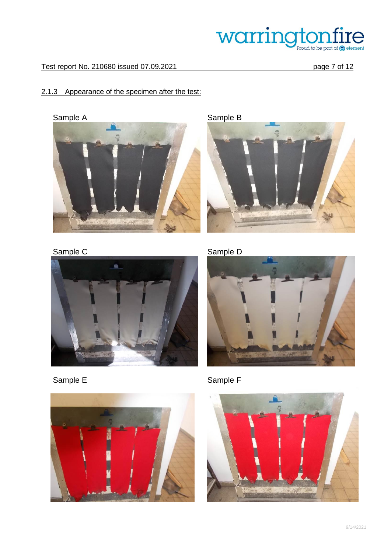

# Test report No. 210680 issued 07.09.2021 page 7 of 12

# 2.1.3 Appearance of the specimen after the test:

Sample A Sample B





Sample C



Sample E



Sample D



Sample F

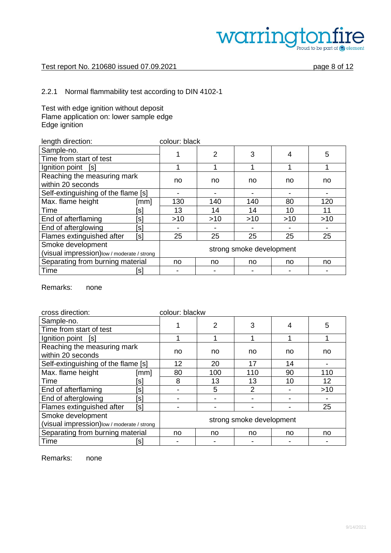

#### Test report No. 210680 issued 07.09.2021 page 8 of 12

# 2.2.1 Normal flammability test according to DIN 4102-1

Test with edge ignition without deposit Flame application on: lower sample edge Edge ignition

| length direction:                                                                            |                    | colour: black |                |       |       |     |
|----------------------------------------------------------------------------------------------|--------------------|---------------|----------------|-------|-------|-----|
| Sample-no.                                                                                   |                    |               | $\overline{2}$ | 3     | 4     | 5   |
| Time from start of test                                                                      |                    |               |                |       |       |     |
| Ignition point [s]                                                                           |                    |               |                |       |       | 1   |
| Reaching the measuring mark<br>within 20 seconds                                             |                    | no            | no             | no    | no    | no  |
| Self-extinguishing of the flame [s]                                                          |                    |               |                |       |       |     |
| Max. flame height                                                                            | $\lceil mm \rceil$ | 130           | 140            | 140   | 80    | 120 |
| Time                                                                                         | s                  | 13            | 14             | 14    | 10    | 11  |
| End of afterflaming                                                                          | [s]                | $>10$         | $>10$          | $>10$ | $>10$ | >10 |
| End of afterglowing                                                                          | [s]                |               |                |       |       |     |
| Flames extinguished after                                                                    | [s]                | 25            | 25             | 25    | 25    | 25  |
| Smoke development<br>strong smoke development<br>(visual impression) low / moderate / strong |                    |               |                |       |       |     |
| Separating from burning material                                                             |                    | no            | no             | no    | no    | no  |
| Time                                                                                         | ۱s۱                |               |                |       |       |     |

Remarks: none

| cross direction:                                                 |                    | colour: blackw |                          |     |    |     |
|------------------------------------------------------------------|--------------------|----------------|--------------------------|-----|----|-----|
| Sample-no.                                                       |                    |                | 2                        | 3   |    | 5   |
| Time from start of test                                          |                    |                |                          |     |    |     |
| Ignition point [s]                                               |                    |                |                          |     |    |     |
| Reaching the measuring mark<br>within 20 seconds                 |                    | no             | no                       | no  | no | no  |
| Self-extinguishing of the flame [s]                              |                    | 12             | 20                       | 17  | 14 |     |
| Max. flame height                                                | $\lceil mm \rceil$ | 80             | 100                      | 110 | 90 | 110 |
| Time                                                             | Isl                | 8              | 13                       | 13  | 10 | 12  |
| End of afterflaming                                              | [s]                |                | 5                        | 2   |    | >10 |
| End of afterglowing                                              | [s]                |                |                          |     |    |     |
| Flames extinguished after                                        | [s]                |                |                          |     |    | 25  |
| Smoke development<br>(visual impression) low / moderate / strong |                    |                | strong smoke development |     |    |     |
| Separating from burning material                                 |                    | no             | no                       | no  | no | no  |
| Time                                                             | [s]                |                |                          |     |    |     |

Remarks: none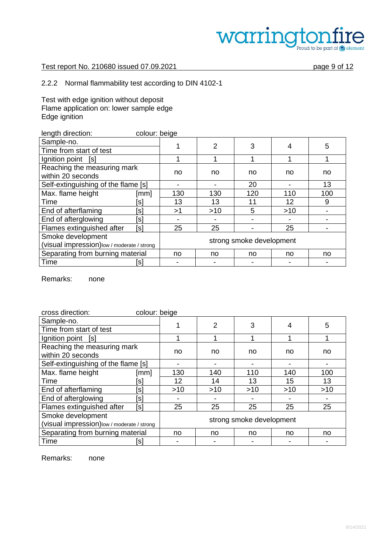# warringto re Proud to be part of element

### Test report No. 210680 issued 07.09.2021 page 9 of 12

# 2.2.2 Normal flammability test according to DIN 4102-1

Test with edge ignition without deposit Flame application on: lower sample edge Edge ignition

| length direction:<br>colour: beige                              |      |     |                          |     |       |     |  |
|-----------------------------------------------------------------|------|-----|--------------------------|-----|-------|-----|--|
| Sample-no.                                                      |      |     | 2                        | 3   | 4     | 5   |  |
| Time from start of test                                         |      |     |                          |     |       |     |  |
| Ignition point<br>[s]                                           |      |     |                          |     |       |     |  |
| Reaching the measuring mark<br>within 20 seconds                |      | no  | no                       | no  | no    | no  |  |
| Self-extinguishing of the flame [s]                             |      |     | 20                       |     | 13    |     |  |
| Max. flame height                                               | [mm] | 130 | 130                      | 120 | 110   | 100 |  |
| Time                                                            | [s]  | 13  | 13                       | 11  | 12    | 9   |  |
| End of afterflaming                                             | [s]  | >1  | $>10$                    | 5   | $>10$ |     |  |
| End of afterglowing                                             | [s]  |     |                          |     |       |     |  |
| Flames extinguished after                                       | [s]  | 25  | 25                       |     | 25    |     |  |
| Smoke development<br>(visual impression)low / moderate / strong |      |     | strong smoke development |     |       |     |  |
| Separating from burning material                                |      | no  | no                       | no  | no    | no  |  |
| Time                                                            | [s]  |     |                          |     |       |     |  |

Remarks: none

| cross direction:                                 | colour: beige |                          |       |     |     |     |
|--------------------------------------------------|---------------|--------------------------|-------|-----|-----|-----|
| Sample-no.                                       |               |                          | 2     | 3   | 4   | 5   |
| Time from start of test                          |               |                          |       |     |     |     |
| Ignition point<br>[s]                            |               |                          |       |     |     |     |
| Reaching the measuring mark<br>within 20 seconds |               | no                       | no    | no  | no  | no  |
| Self-extinguishing of the flame [s]              |               |                          |       |     |     |     |
| Max. flame height                                | [mm]          | 130                      | 140   | 110 | 140 | 100 |
| Time                                             | ۱s            | 12                       | 14    | 13  | 15  | 13  |
| End of afterflaming                              | [s]           | $>10$                    | $>10$ | >10 | >10 | >10 |
| End of afterglowing                              | [s]           |                          |       |     |     |     |
| Flames extinguished after                        | [s]           | 25                       | 25    | 25  | 25  | 25  |
| Smoke development                                |               |                          |       |     |     |     |
| (visual impression)low / moderate / strong       |               | strong smoke development |       |     |     |     |
| Separating from burning material                 |               | no                       | no    | no  | no  | no  |
| Time                                             | [s]           |                          |       |     |     |     |

Remarks: none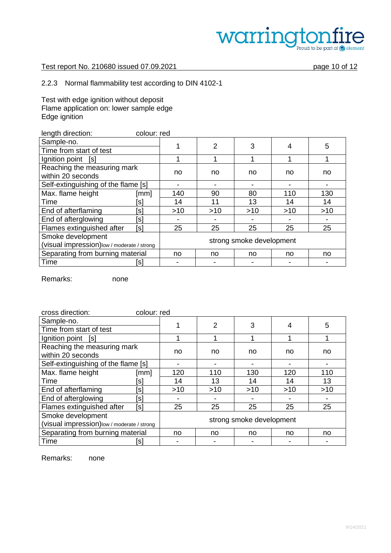# warring e Proud to be part of element

### Test report No. 210680 issued 07.09.2021 page 10 of 12

# 2.2.3 Normal flammability test according to DIN 4102-1

Test with edge ignition without deposit Flame application on: lower sample edge Edge ignition

| length direction:<br>colour: red                                |      |                          |                |       |       |     |  |  |
|-----------------------------------------------------------------|------|--------------------------|----------------|-------|-------|-----|--|--|
| Sample-no.                                                      |      |                          | $\overline{2}$ | 3     | 4     | 5   |  |  |
| Time from start of test                                         |      |                          |                |       |       |     |  |  |
| Ignition point<br>[s]                                           |      |                          |                |       |       |     |  |  |
| Reaching the measuring mark<br>within 20 seconds                |      | no                       | no             | no    | no    | no  |  |  |
| Self-extinguishing of the flame [s]                             |      |                          |                |       |       |     |  |  |
| Max. flame height                                               | [mm] | 140                      | 90             | 80    | 110   | 130 |  |  |
| Time                                                            | ls   | 14                       | 11             | 13    | 14    | 14  |  |  |
| End of afterflaming                                             | [s]  | $>10$                    | $>10$          | $>10$ | $>10$ | >10 |  |  |
| End of afterglowing                                             | [s]  |                          |                |       |       |     |  |  |
| Flames extinguished after                                       | [s]  | 25                       | 25             | 25    | 25    | 25  |  |  |
| Smoke development<br>(visual impression)low / moderate / strong |      | strong smoke development |                |       |       |     |  |  |
| Separating from burning material                                |      | no                       | no             | no    | no    | no  |  |  |
| Time                                                            | isl  |                          |                |       |       |     |  |  |

Remarks: none

| cross direction:<br>colour: red                                  |      |                          |                |       |     |     |  |  |
|------------------------------------------------------------------|------|--------------------------|----------------|-------|-----|-----|--|--|
| Sample-no.                                                       |      |                          | $\overline{2}$ | 3     | 4   | 5   |  |  |
| Time from start of test                                          |      |                          |                |       |     |     |  |  |
| Ignition point [s]                                               |      |                          |                |       |     |     |  |  |
| Reaching the measuring mark<br>within 20 seconds                 |      | no                       | no             | no    | no  | no  |  |  |
| Self-extinguishing of the flame [s]                              |      |                          |                |       |     |     |  |  |
| Max. flame height                                                | [mm] | 120                      | 110            | 130   | 120 | 110 |  |  |
| Time                                                             | Isl  | 14                       | 13             | 14    | 14  | 13  |  |  |
| End of afterflaming                                              | [s]  | $>10$                    | >10            | $>10$ | >10 | >10 |  |  |
| End of afterglowing                                              | [s]  |                          |                |       |     |     |  |  |
| Flames extinguished after                                        | [s]  | 25                       | 25             | 25    | 25  | 25  |  |  |
| Smoke development<br>(visual impression) low / moderate / strong |      | strong smoke development |                |       |     |     |  |  |
| Separating from burning material                                 |      | no                       | no             | no    | no  | no  |  |  |
| Time                                                             | ssl  |                          |                |       |     |     |  |  |

Remarks: none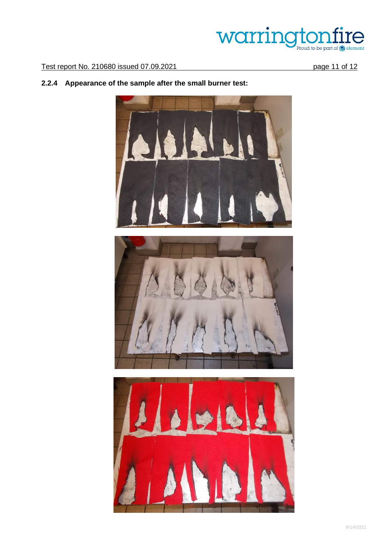# Warringtonfire

Test report No. 210680 issued 07.09.2021 page 11 of 12

# **2.2.4 Appearance of the sample after the small burner test:**



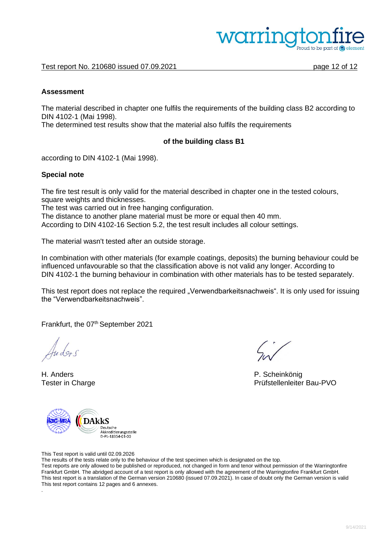

Test report No. 210680 issued 07.09.2021 page 12 of 12

#### **Assessment**

The material described in chapter one fulfils the requirements of the building class B2 according to DIN 4102-1 (Mai 1998).

The determined test results show that the material also fulfils the requirements

#### **of the building class B1**

according to DIN 4102-1 (Mai 1998).

#### **Special note**

The fire test result is only valid for the material described in chapter one in the tested colours, square weights and thicknesses.

The test was carried out in free hanging configuration.

The distance to another plane material must be more or equal then 40 mm.

According to DIN 4102-16 Section 5.2, the test result includes all colour settings.

The material wasn't tested after an outside storage.

In combination with other materials (for example coatings, deposits) the burning behaviour could be influenced unfavourable so that the classification above is not valid any longer. According to DIN 4102-1 the burning behaviour in combination with other materials has to be tested separately.

This test report does not replace the required "Verwendbarkeitsnachweis". It is only used for issuing the "Verwendbarkeitsnachweis".

Frankfurt, the 07<sup>th</sup> September 2021

.

H. Anders P. Scheinkönig

Tester in Charge Prüfstellenleiter Bau-PVO



This Test report is valid until 02.09.2026

The results of the tests relate only to the behaviour of the test specimen which is designated on the top.

Test reports are only allowed to be published or reproduced, not changed in form and tenor without permission of the Warringtonfire Frankfurt GmbH. The abridged account of a test report is only allowed with the agreement of the Warringtonfire Frankfurt GmbH. This test report is a translation of the German version 210680 (issued 07.09.2021). In case of doubt only the German version is valid This test report contains 12 pages and 6 annexes.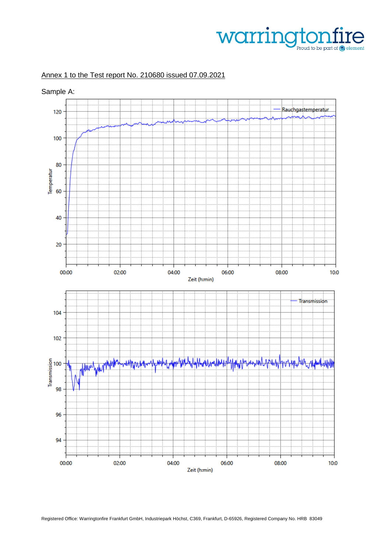# warrington re Proud to be part of **@** element

# Annex 1 to the Test report No. 210680 issued 07.09.2021

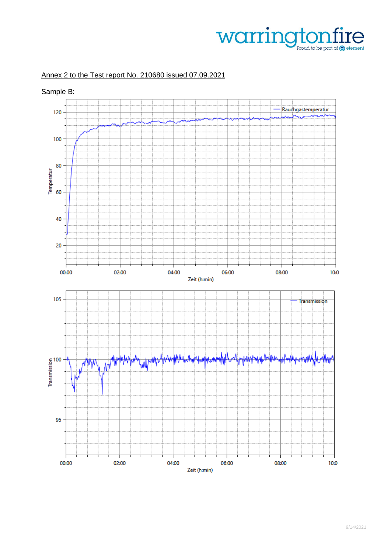# Warringtonfire

# Annex 2 to the Test report No. 210680 issued 07.09.2021

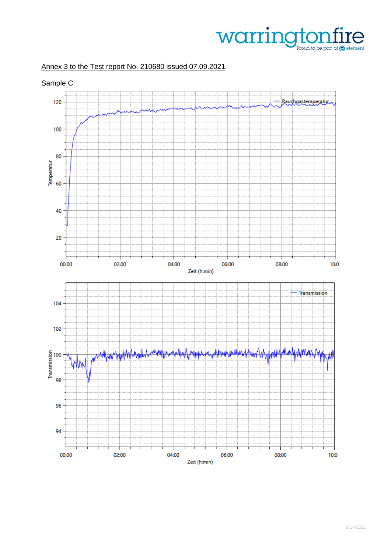# warrington re Proud to be part of element

# Annex 3 to the Test report No. 210680 issued 07.09.2021

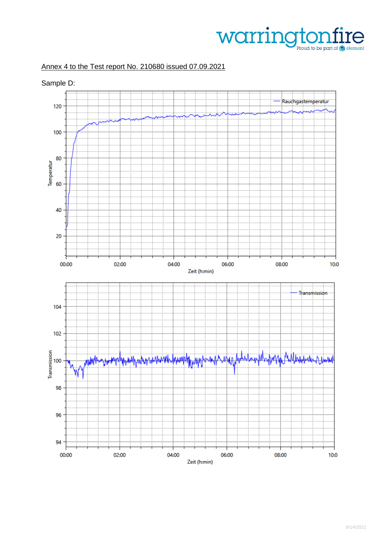

# Annex 4 to the Test report No. 210680 issued 07.09.2021

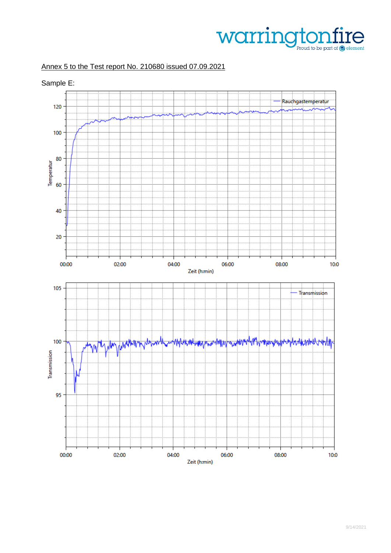

# Annex 5 to the Test report No. 210680 issued 07.09.2021